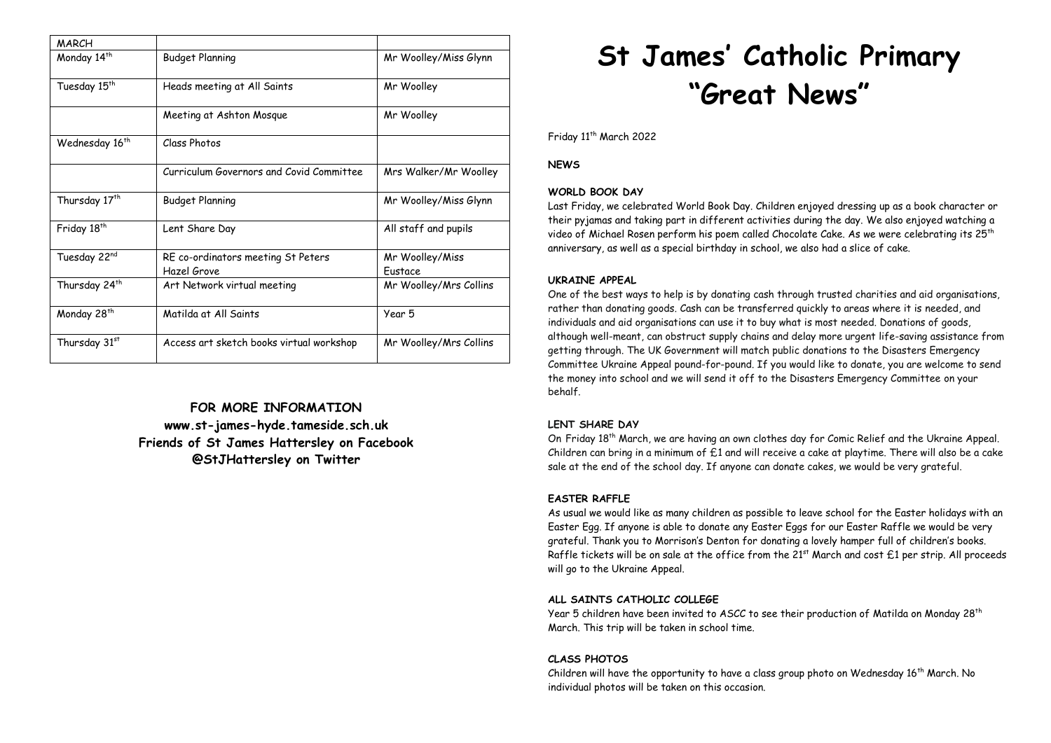| <b>MARCH</b>               |                                                   |                                   |
|----------------------------|---------------------------------------------------|-----------------------------------|
| Monday 14 <sup>th</sup>    | Budget Planning                                   | Mr Woolley/Miss Glynn             |
| Tuesday 15 <sup>th</sup>   | Heads meeting at All Saints                       | Mr Woolley                        |
|                            | Meeting at Ashton Mosque                          | Mr Woolley                        |
| Wednesday 16 <sup>th</sup> | Class Photos                                      |                                   |
|                            | Curriculum Governors and Covid Committee          | Mrs Walker/Mr Woolley             |
| Thursday 17 <sup>th</sup>  | Budget Planning                                   | Mr Woolley/Miss Glynn             |
| Friday 18 <sup>th</sup>    | Lent Share Day                                    | All staff and pupils              |
| Tuesday 22nd               | RE co-ordinators meeting St Peters<br>Hazel Grove | Mr Woolley/Miss<br><b>Fustace</b> |
| Thursday 24 <sup>th</sup>  | Art Network virtual meeting                       | Mr Woolley/Mrs Collins            |
| Monday 28 <sup>th</sup>    | Matilda at All Saints                             | Year 5                            |
| Thursday 31st              | Access art sketch books virtual workshop          | Mr Woolley/Mrs Collins            |

**FOR MORE INFORMATION www.st-james-hyde.tameside.sch.uk Friends of St James Hattersley on Facebook @StJHattersley on Twitter**

# **St James' Catholic Primary "Great News"**

Friday 11<sup>th</sup> March 2022

**NEWS**

## **WORLD BOOK DAY**

Last Friday, we celebrated World Book Day. Children enjoyed dressing up as a book character or their pyjamas and taking part in different activities during the day. We also enjoyed watching a video of Michael Rosen perform his poem called Chocolate Cake. As we were celebrating its 25<sup>th</sup> anniversary, as well as a special birthday in school, we also had a slice of cake.

## **UKRAINE APPEAL**

One of the best ways to help is by donating cash through trusted charities and aid organisations, rather than donating goods. Cash can be transferred quickly to areas where it is needed, and individuals and aid organisations can use it to buy what is most needed. Donations of goods, although well-meant, can obstruct supply chains and delay more urgent life-saving assistance from getting through. The UK Government will match public donations to the Disasters Emergency Committee Ukraine Appeal pound-for-pound. If you would like to donate, you are welcome to send the money into school and we will send it off to the Disasters Emergency Committee on your behalf.

## **LENT SHARE DAY**

On Friday 18th March, we are having an own clothes day for Comic Relief and the Ukraine Appeal. Children can bring in a minimum of £1 and will receive a cake at playtime. There will also be a cake sale at the end of the school day. If anyone can donate cakes, we would be very grateful.

## **EASTER RAFFLE**

As usual we would like as many children as possible to leave school for the Easter holidays with an Easter Egg. If anyone is able to donate any Easter Eggs for our Easter Raffle we would be very grateful. Thank you to Morrison's Denton for donating a lovely hamper full of children's books. Raffle tickets will be on sale at the office from the  $21^{st}$  March and cost £1 per strip. All proceeds will go to the Ukraine Appeal.

## **ALL SAINTS CATHOLIC COLLEGE**

Year 5 children have been invited to ASCC to see their production of Matilda on Monday 28<sup>th</sup> March. This trip will be taken in school time.

## **CLASS PHOTOS**

Children will have the opportunity to have a class group photo on Wednesday  $16<sup>th</sup>$  March. No individual photos will be taken on this occasion.